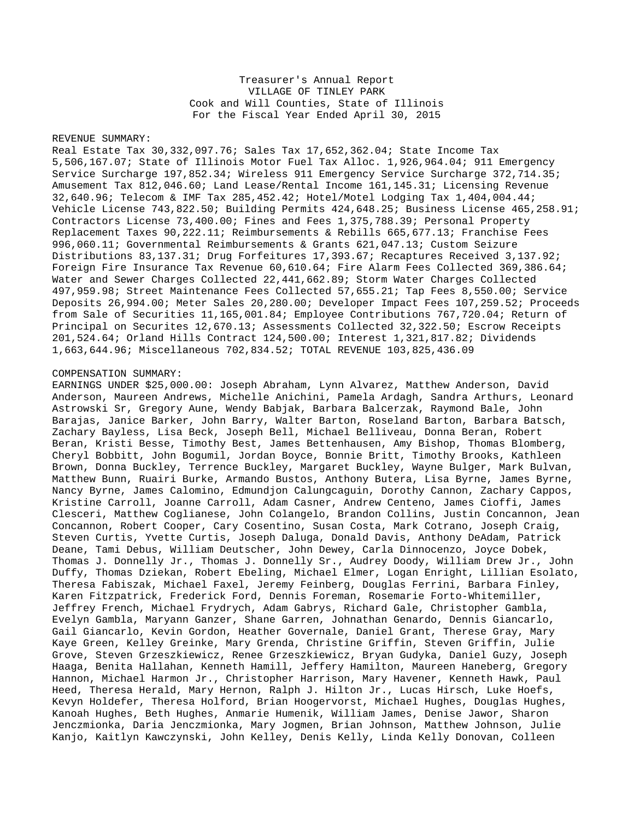## Treasurer's Annual Report VILLAGE OF TINLEY PARK Cook and Will Counties, State of Illinois For the Fiscal Year Ended April 30, 2015

## REVENUE SUMMARY:

Real Estate Tax 30,332,097.76; Sales Tax 17,652,362.04; State Income Tax 5,506,167.07; State of Illinois Motor Fuel Tax Alloc. 1,926,964.04; 911 Emergency Service Surcharge 197,852.34; Wireless 911 Emergency Service Surcharge 372,714.35; Amusement Tax 812,046.60; Land Lease/Rental Income 161,145.31; Licensing Revenue 32,640.96; Telecom & IMF Tax 285,452.42; Hotel/Motel Lodging Tax 1,404,004.44; Vehicle License 743,822.50; Building Permits 424,648.25; Business License 465,258.91; Contractors License 73,400.00; Fines and Fees 1,375,788.39; Personal Property Replacement Taxes 90,222.11; Reimbursements & Rebills 665,677.13; Franchise Fees 996,060.11; Governmental Reimbursements & Grants 621,047.13; Custom Seizure Distributions 83,137.31; Drug Forfeitures 17,393.67; Recaptures Received 3,137.92; Foreign Fire Insurance Tax Revenue 60,610.64; Fire Alarm Fees Collected 369,386.64; Water and Sewer Charges Collected 22,441,662.89; Storm Water Charges Collected 497,959.98; Street Maintenance Fees Collected 57,655.21; Tap Fees 8,550.00; Service Deposits 26,994.00; Meter Sales 20,280.00; Developer Impact Fees 107,259.52; Proceeds from Sale of Securities 11,165,001.84; Employee Contributions 767,720.04; Return of Principal on Securites 12,670.13; Assessments Collected 32,322.50; Escrow Receipts 201,524.64; Orland Hills Contract 124,500.00; Interest 1,321,817.82; Dividends 1,663,644.96; Miscellaneous 702,834.52; TOTAL REVENUE 103,825,436.09

## COMPENSATION SUMMARY:

EARNINGS UNDER \$25,000.00: Joseph Abraham, Lynn Alvarez, Matthew Anderson, David Anderson, Maureen Andrews, Michelle Anichini, Pamela Ardagh, Sandra Arthurs, Leonard Astrowski Sr, Gregory Aune, Wendy Babjak, Barbara Balcerzak, Raymond Bale, John Barajas, Janice Barker, John Barry, Walter Barton, Roseland Barton, Barbara Batsch, Zachary Bayless, Lisa Beck, Joseph Bell, Michael Belliveau, Donna Beran, Robert Beran, Kristi Besse, Timothy Best, James Bettenhausen, Amy Bishop, Thomas Blomberg, Cheryl Bobbitt, John Bogumil, Jordan Boyce, Bonnie Britt, Timothy Brooks, Kathleen Brown, Donna Buckley, Terrence Buckley, Margaret Buckley, Wayne Bulger, Mark Bulvan, Matthew Bunn, Ruairi Burke, Armando Bustos, Anthony Butera, Lisa Byrne, James Byrne, Nancy Byrne, James Calomino, Edmundjon Calungcaguin, Dorothy Cannon, Zachary Cappos, Kristine Carroll, Joanne Carroll, Adam Casner, Andrew Centeno, James Cioffi, James Clesceri, Matthew Coglianese, John Colangelo, Brandon Collins, Justin Concannon, Jean Concannon, Robert Cooper, Cary Cosentino, Susan Costa, Mark Cotrano, Joseph Craig, Steven Curtis, Yvette Curtis, Joseph Daluga, Donald Davis, Anthony DeAdam, Patrick Deane, Tami Debus, William Deutscher, John Dewey, Carla Dinnocenzo, Joyce Dobek, Thomas J. Donnelly Jr., Thomas J. Donnelly Sr., Audrey Doody, William Drew Jr., John Duffy, Thomas Dziekan, Robert Ebeling, Michael Elmer, Logan Enright, Lillian Esolato, Theresa Fabiszak, Michael Faxel, Jeremy Feinberg, Douglas Ferrini, Barbara Finley, Karen Fitzpatrick, Frederick Ford, Dennis Foreman, Rosemarie Forto-Whitemiller, Jeffrey French, Michael Frydrych, Adam Gabrys, Richard Gale, Christopher Gambla, Evelyn Gambla, Maryann Ganzer, Shane Garren, Johnathan Genardo, Dennis Giancarlo, Gail Giancarlo, Kevin Gordon, Heather Governale, Daniel Grant, Therese Gray, Mary Kaye Green, Kelley Greinke, Mary Grenda, Christine Griffin, Steven Griffin, Julie Grove, Steven Grzeszkiewicz, Renee Grzeszkiewicz, Bryan Gudyka, Daniel Guzy, Joseph Haaga, Benita Hallahan, Kenneth Hamill, Jeffery Hamilton, Maureen Haneberg, Gregory Hannon, Michael Harmon Jr., Christopher Harrison, Mary Havener, Kenneth Hawk, Paul Heed, Theresa Herald, Mary Hernon, Ralph J. Hilton Jr., Lucas Hirsch, Luke Hoefs, Kevyn Holdefer, Theresa Holford, Brian Hoogervorst, Michael Hughes, Douglas Hughes, Kanoah Hughes, Beth Hughes, Anmarie Humenik, William James, Denise Jawor, Sharon Jenczmionka, Daria Jenczmionka, Mary Jogmen, Brian Johnson, Matthew Johnson, Julie Kanjo, Kaitlyn Kawczynski, John Kelley, Denis Kelly, Linda Kelly Donovan, Colleen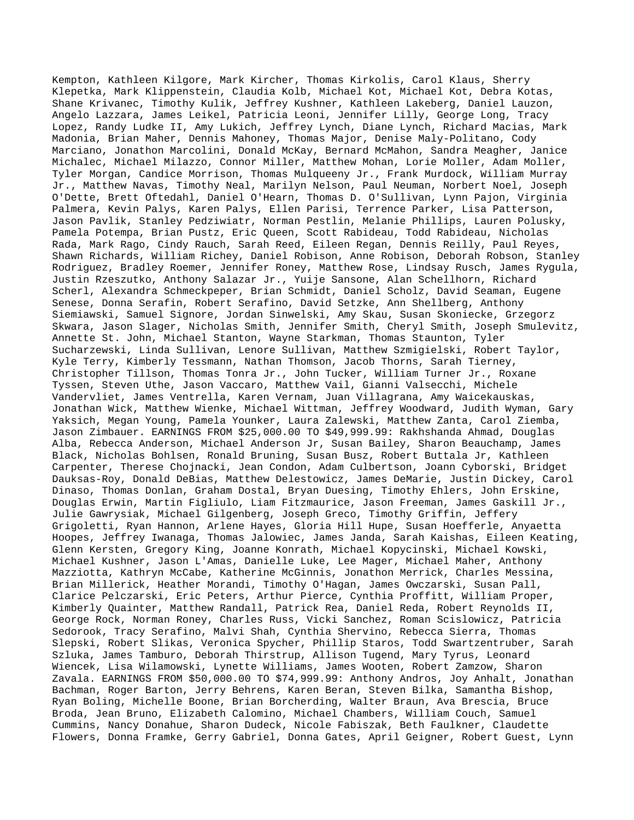Kempton, Kathleen Kilgore, Mark Kircher, Thomas Kirkolis, Carol Klaus, Sherry Klepetka, Mark Klippenstein, Claudia Kolb, Michael Kot, Michael Kot, Debra Kotas, Shane Krivanec, Timothy Kulik, Jeffrey Kushner, Kathleen Lakeberg, Daniel Lauzon, Angelo Lazzara, James Leikel, Patricia Leoni, Jennifer Lilly, George Long, Tracy Lopez, Randy Ludke II, Amy Lukich, Jeffrey Lynch, Diane Lynch, Richard Macias, Mark Madonia, Brian Maher, Dennis Mahoney, Thomas Major, Denise Maly-Politano, Cody Marciano, Jonathon Marcolini, Donald McKay, Bernard McMahon, Sandra Meagher, Janice Michalec, Michael Milazzo, Connor Miller, Matthew Mohan, Lorie Moller, Adam Moller, Tyler Morgan, Candice Morrison, Thomas Mulqueeny Jr., Frank Murdock, William Murray Jr., Matthew Navas, Timothy Neal, Marilyn Nelson, Paul Neuman, Norbert Noel, Joseph O'Dette, Brett Oftedahl, Daniel O'Hearn, Thomas D. O'Sullivan, Lynn Pajon, Virginia Palmera, Kevin Palys, Karen Palys, Ellen Parisi, Terrence Parker, Lisa Patterson, Jason Pavlik, Stanley Pedziwiatr, Norman Pestlin, Melanie Phillips, Lauren Polusky, Pamela Potempa, Brian Pustz, Eric Queen, Scott Rabideau, Todd Rabideau, Nicholas Rada, Mark Rago, Cindy Rauch, Sarah Reed, Eileen Regan, Dennis Reilly, Paul Reyes, Shawn Richards, William Richey, Daniel Robison, Anne Robison, Deborah Robson, Stanley Rodriguez, Bradley Roemer, Jennifer Roney, Matthew Rose, Lindsay Rusch, James Rygula, Justin Rzeszutko, Anthony Salazar Jr., Yuije Sansone, Alan Schellhorn, Richard Scherl, Alexandra Schmeckpeper, Brian Schmidt, Daniel Scholz, David Seaman, Eugene Senese, Donna Serafin, Robert Serafino, David Setzke, Ann Shellberg, Anthony Siemiawski, Samuel Signore, Jordan Sinwelski, Amy Skau, Susan Skoniecke, Grzegorz Skwara, Jason Slager, Nicholas Smith, Jennifer Smith, Cheryl Smith, Joseph Smulevitz, Annette St. John, Michael Stanton, Wayne Starkman, Thomas Staunton, Tyler Sucharzewski, Linda Sullivan, Lenore Sullivan, Matthew Szmigielski, Robert Taylor, Kyle Terry, Kimberly Tessmann, Nathan Thomson, Jacob Thorns, Sarah Tierney, Christopher Tillson, Thomas Tonra Jr., John Tucker, William Turner Jr., Roxane Tyssen, Steven Uthe, Jason Vaccaro, Matthew Vail, Gianni Valsecchi, Michele Vandervliet, James Ventrella, Karen Vernam, Juan Villagrana, Amy Waicekauskas, Jonathan Wick, Matthew Wienke, Michael Wittman, Jeffrey Woodward, Judith Wyman, Gary Yaksich, Megan Young, Pamela Younker, Laura Zalewski, Matthew Zanta, Carol Ziemba, Jason Zimbauer. EARNINGS FROM \$25,000.00 TO \$49,999.99: Rakhshanda Ahmad, Douglas Alba, Rebecca Anderson, Michael Anderson Jr, Susan Bailey, Sharon Beauchamp, James Black, Nicholas Bohlsen, Ronald Bruning, Susan Busz, Robert Buttala Jr, Kathleen Carpenter, Therese Chojnacki, Jean Condon, Adam Culbertson, Joann Cyborski, Bridget Dauksas-Roy, Donald DeBias, Matthew Delestowicz, James DeMarie, Justin Dickey, Carol Dinaso, Thomas Donlan, Graham Dostal, Bryan Duesing, Timothy Ehlers, John Erskine, Douglas Erwin, Martin Figliulo, Liam Fitzmaurice, Jason Freeman, James Gaskill Jr., Julie Gawrysiak, Michael Gilgenberg, Joseph Greco, Timothy Griffin, Jeffery Grigoletti, Ryan Hannon, Arlene Hayes, Gloria Hill Hupe, Susan Hoefferle, Anyaetta Hoopes, Jeffrey Iwanaga, Thomas Jalowiec, James Janda, Sarah Kaishas, Eileen Keating, Glenn Kersten, Gregory King, Joanne Konrath, Michael Kopycinski, Michael Kowski, Michael Kushner, Jason L'Amas, Danielle Luke, Lee Mager, Michael Maher, Anthony Mazziotta, Kathryn McCabe, Katherine McGinnis, Jonathon Merrick, Charles Messina, Brian Millerick, Heather Morandi, Timothy O'Hagan, James Owczarski, Susan Pall, Clarice Pelczarski, Eric Peters, Arthur Pierce, Cynthia Proffitt, William Proper, Kimberly Quainter, Matthew Randall, Patrick Rea, Daniel Reda, Robert Reynolds II, George Rock, Norman Roney, Charles Russ, Vicki Sanchez, Roman Scislowicz, Patricia Sedorook, Tracy Serafino, Malvi Shah, Cynthia Shervino, Rebecca Sierra, Thomas Slepski, Robert Slikas, Veronica Spycher, Phillip Staros, Todd Swartzentruber, Sarah Szluka, James Tamburo, Deborah Thirstrup, Allison Tugend, Mary Tyrus, Leonard Wiencek, Lisa Wilamowski, Lynette Williams, James Wooten, Robert Zamzow, Sharon Zavala. EARNINGS FROM \$50,000.00 TO \$74,999.99: Anthony Andros, Joy Anhalt, Jonathan Bachman, Roger Barton, Jerry Behrens, Karen Beran, Steven Bilka, Samantha Bishop, Ryan Boling, Michelle Boone, Brian Borcherding, Walter Braun, Ava Brescia, Bruce Broda, Jean Bruno, Elizabeth Calomino, Michael Chambers, William Couch, Samuel Cummins, Nancy Donahue, Sharon Dudeck, Nicole Fabiszak, Beth Faulkner, Claudette Flowers, Donna Framke, Gerry Gabriel, Donna Gates, April Geigner, Robert Guest, Lynn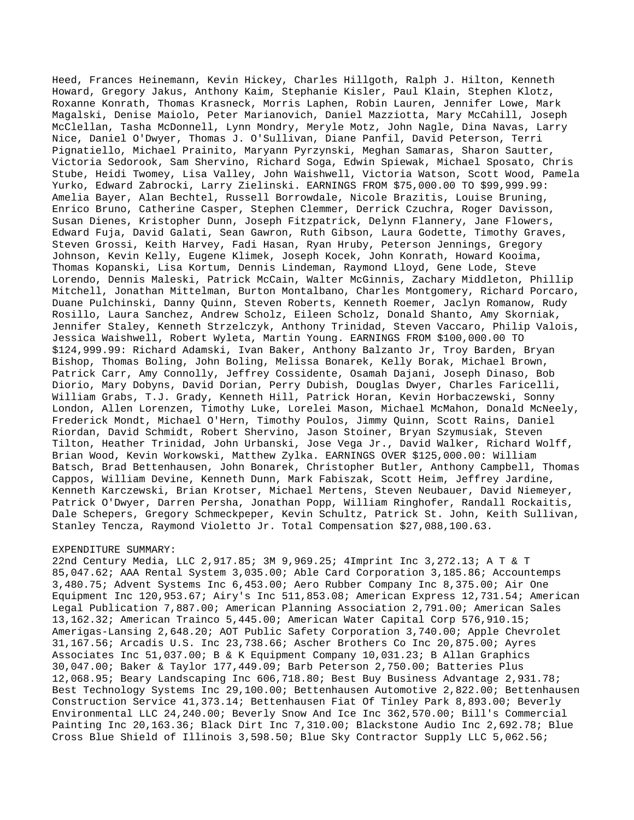Heed, Frances Heinemann, Kevin Hickey, Charles Hillgoth, Ralph J. Hilton, Kenneth Howard, Gregory Jakus, Anthony Kaim, Stephanie Kisler, Paul Klain, Stephen Klotz, Roxanne Konrath, Thomas Krasneck, Morris Laphen, Robin Lauren, Jennifer Lowe, Mark Magalski, Denise Maiolo, Peter Marianovich, Daniel Mazziotta, Mary McCahill, Joseph McClellan, Tasha McDonnell, Lynn Mondry, Meryle Motz, John Nagle, Dina Navas, Larry Nice, Daniel O'Dwyer, Thomas J. O'Sullivan, Diane Panfil, David Peterson, Terri Pignatiello, Michael Prainito, Maryann Pyrzynski, Meghan Samaras, Sharon Sautter, Victoria Sedorook, Sam Shervino, Richard Soga, Edwin Spiewak, Michael Sposato, Chris Stube, Heidi Twomey, Lisa Valley, John Waishwell, Victoria Watson, Scott Wood, Pamela Yurko, Edward Zabrocki, Larry Zielinski. EARNINGS FROM \$75,000.00 TO \$99,999.99: Amelia Bayer, Alan Bechtel, Russell Borrowdale, Nicole Brazitis, Louise Bruning, Enrico Bruno, Catherine Casper, Stephen Clemmer, Derrick Czuchra, Roger Davisson, Susan Dienes, Kristopher Dunn, Joseph Fitzpatrick, Delynn Flannery, Jane Flowers, Edward Fuja, David Galati, Sean Gawron, Ruth Gibson, Laura Godette, Timothy Graves, Steven Grossi, Keith Harvey, Fadi Hasan, Ryan Hruby, Peterson Jennings, Gregory Johnson, Kevin Kelly, Eugene Klimek, Joseph Kocek, John Konrath, Howard Kooima, Thomas Kopanski, Lisa Kortum, Dennis Lindeman, Raymond Lloyd, Gene Lode, Steve Lorendo, Dennis Maleski, Patrick McCain, Walter McGinnis, Zachary Middleton, Phillip Mitchell, Jonathan Mittelman, Burton Montalbano, Charles Montgomery, Richard Porcaro, Duane Pulchinski, Danny Quinn, Steven Roberts, Kenneth Roemer, Jaclyn Romanow, Rudy Rosillo, Laura Sanchez, Andrew Scholz, Eileen Scholz, Donald Shanto, Amy Skorniak, Jennifer Staley, Kenneth Strzelczyk, Anthony Trinidad, Steven Vaccaro, Philip Valois, Jessica Waishwell, Robert Wyleta, Martin Young. EARNINGS FROM \$100,000.00 TO \$124,999.99: Richard Adamski, Ivan Baker, Anthony Balzanto Jr, Troy Barden, Bryan Bishop, Thomas Boling, John Boling, Melissa Bonarek, Kelly Borak, Michael Brown, Patrick Carr, Amy Connolly, Jeffrey Cossidente, Osamah Dajani, Joseph Dinaso, Bob Diorio, Mary Dobyns, David Dorian, Perry Dubish, Douglas Dwyer, Charles Faricelli, William Grabs, T.J. Grady, Kenneth Hill, Patrick Horan, Kevin Horbaczewski, Sonny London, Allen Lorenzen, Timothy Luke, Lorelei Mason, Michael McMahon, Donald McNeely, Frederick Mondt, Michael O'Hern, Timothy Poulos, Jimmy Quinn, Scott Rains, Daniel Riordan, David Schmidt, Robert Shervino, Jason Stoiner, Bryan Szymusiak, Steven Tilton, Heather Trinidad, John Urbanski, Jose Vega Jr., David Walker, Richard Wolff, Brian Wood, Kevin Workowski, Matthew Zylka. EARNINGS OVER \$125,000.00: William Batsch, Brad Bettenhausen, John Bonarek, Christopher Butler, Anthony Campbell, Thomas Cappos, William Devine, Kenneth Dunn, Mark Fabiszak, Scott Heim, Jeffrey Jardine, Kenneth Karczewski, Brian Krotser, Michael Mertens, Steven Neubauer, David Niemeyer, Patrick O'Dwyer, Darren Persha, Jonathan Popp, William Ringhofer, Randall Rockaitis, Dale Schepers, Gregory Schmeckpeper, Kevin Schultz, Patrick St. John, Keith Sullivan, Stanley Tencza, Raymond Violetto Jr. Total Compensation \$27,088,100.63.

## EXPENDITURE SUMMARY:

22nd Century Media, LLC 2,917.85; 3M 9,969.25; 4Imprint Inc 3,272.13; A T & T 85,047.62; AAA Rental System 3,035.00; Able Card Corporation 3,185.86; Accountemps 3,480.75; Advent Systems Inc 6,453.00; Aero Rubber Company Inc 8,375.00; Air One Equipment Inc 120,953.67; Airy's Inc 511,853.08; American Express 12,731.54; American Legal Publication 7,887.00; American Planning Association 2,791.00; American Sales 13,162.32; American Trainco 5,445.00; American Water Capital Corp 576,910.15; Amerigas-Lansing 2,648.20; AOT Public Safety Corporation 3,740.00; Apple Chevrolet 31,167.56; Arcadis U.S. Inc 23,738.66; Ascher Brothers Co Inc 20,875.00; Ayres Associates Inc 51,037.00; B & K Equipment Company 10,031.23; B Allan Graphics 30,047.00; Baker & Taylor 177,449.09; Barb Peterson 2,750.00; Batteries Plus 12,068.95; Beary Landscaping Inc 606,718.80; Best Buy Business Advantage 2,931.78; Best Technology Systems Inc 29,100.00; Bettenhausen Automotive 2,822.00; Bettenhausen Construction Service 41,373.14; Bettenhausen Fiat Of Tinley Park 8,893.00; Beverly Environmental LLC 24,240.00; Beverly Snow And Ice Inc 362,570.00; Bill's Commercial Painting Inc 20,163.36; Black Dirt Inc 7,310.00; Blackstone Audio Inc 2,692.78; Blue Cross Blue Shield of Illinois 3,598.50; Blue Sky Contractor Supply LLC 5,062.56;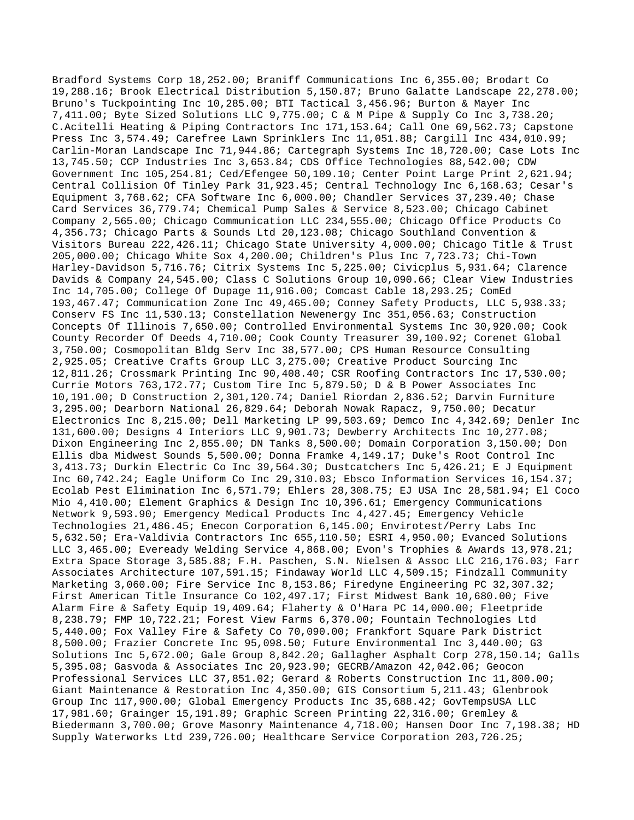Bradford Systems Corp 18,252.00; Braniff Communications Inc 6,355.00; Brodart Co 19,288.16; Brook Electrical Distribution 5,150.87; Bruno Galatte Landscape 22,278.00; Bruno's Tuckpointing Inc 10,285.00; BTI Tactical 3,456.96; Burton & Mayer Inc 7,411.00; Byte Sized Solutions LLC 9,775.00; C & M Pipe & Supply Co Inc 3,738.20; C.Acitelli Heating & Piping Contractors Inc 171,153.64; Call One 69,562.73; Capstone Press Inc 3,574.49; Carefree Lawn Sprinklers Inc 11,051.88; Cargill Inc 434,010.99; Carlin-Moran Landscape Inc 71,944.86; Cartegraph Systems Inc 18,720.00; Case Lots Inc 13,745.50; CCP Industries Inc 3,653.84; CDS Office Technologies 88,542.00; CDW Government Inc 105,254.81; Ced/Efengee 50,109.10; Center Point Large Print 2,621.94; Central Collision Of Tinley Park 31,923.45; Central Technology Inc 6,168.63; Cesar's Equipment 3,768.62; CFA Software Inc 6,000.00; Chandler Services 37,239.40; Chase Card Services 36,779.74; Chemical Pump Sales & Service 8,523.00; Chicago Cabinet Company 2,565.00; Chicago Communication LLC 234,555.00; Chicago Office Products Co 4,356.73; Chicago Parts & Sounds Ltd 20,123.08; Chicago Southland Convention & Visitors Bureau 222,426.11; Chicago State University 4,000.00; Chicago Title & Trust 205,000.00; Chicago White Sox 4,200.00; Children's Plus Inc 7,723.73; Chi-Town Harley-Davidson 5,716.76; Citrix Systems Inc 5,225.00; Civicplus 5,931.64; Clarence Davids & Company 24,545.00; Class C Solutions Group 10,090.66; Clear View Industries Inc 14,705.00; College Of Dupage 11,916.00; Comcast Cable 18,293.25; ComEd 193,467.47; Communication Zone Inc 49,465.00; Conney Safety Products, LLC 5,938.33; Conserv FS Inc 11,530.13; Constellation Newenergy Inc 351,056.63; Construction Concepts Of Illinois 7,650.00; Controlled Environmental Systems Inc 30,920.00; Cook County Recorder Of Deeds 4,710.00; Cook County Treasurer 39,100.92; Corenet Global 3,750.00; Cosmopolitan Bldg Serv Inc 38,577.00; CPS Human Resource Consulting 2,925.05; Creative Crafts Group LLC 3,275.00; Creative Product Sourcing Inc 12,811.26; Crossmark Printing Inc 90,408.40; CSR Roofing Contractors Inc 17,530.00; Currie Motors 763,172.77; Custom Tire Inc 5,879.50; D & B Power Associates Inc 10,191.00; D Construction 2,301,120.74; Daniel Riordan 2,836.52; Darvin Furniture 3,295.00; Dearborn National 26,829.64; Deborah Nowak Rapacz, 9,750.00; Decatur Electronics Inc 8,215.00; Dell Marketing LP 99,503.69; Demco Inc 4,342.69; Denler Inc 131,600.00; Designs 4 Interiors LLC 9,901.73; Dewberry Architects Inc 10,277.08; Dixon Engineering Inc 2,855.00; DN Tanks 8,500.00; Domain Corporation 3,150.00; Don Ellis dba Midwest Sounds 5,500.00; Donna Framke 4,149.17; Duke's Root Control Inc 3,413.73; Durkin Electric Co Inc 39,564.30; Dustcatchers Inc 5,426.21; E J Equipment Inc 60,742.24; Eagle Uniform Co Inc 29,310.03; Ebsco Information Services 16,154.37; Ecolab Pest Elimination Inc 6,571.79; Ehlers 28,308.75; EJ USA Inc 28,581.94; El Coco Mio 4,410.00; Element Graphics & Design Inc 10,396.61; Emergency Communications Network 9,593.90; Emergency Medical Products Inc 4,427.45; Emergency Vehicle Technologies 21,486.45; Enecon Corporation 6,145.00; Envirotest/Perry Labs Inc 5,632.50; Era-Valdivia Contractors Inc 655,110.50; ESRI 4,950.00; Evanced Solutions LLC 3,465.00; Eveready Welding Service 4,868.00; Evon's Trophies & Awards 13,978.21; Extra Space Storage 3,585.88; F.H. Paschen, S.N. Nielsen & Assoc LLC 216,176.03; Farr Associates Architecture 107,591.15; Findaway World LLC 4,509.15; Findzall Community Marketing 3,060.00; Fire Service Inc 8,153.86; Firedyne Engineering PC 32,307.32; First American Title Insurance Co 102,497.17; First Midwest Bank 10,680.00; Five Alarm Fire & Safety Equip 19,409.64; Flaherty & O'Hara PC 14,000.00; Fleetpride 8,238.79; FMP 10,722.21; Forest View Farms 6,370.00; Fountain Technologies Ltd 5,440.00; Fox Valley Fire & Safety Co 70,090.00; Frankfort Square Park District 8,500.00; Frazier Concrete Inc 95,098.50; Future Environmental Inc 3,440.00; G3 Solutions Inc 5,672.00; Gale Group 8,842.20; Gallagher Asphalt Corp 278,150.14; Galls 5,395.08; Gasvoda & Associates Inc 20,923.90; GECRB/Amazon 42,042.06; Geocon Professional Services LLC 37,851.02; Gerard & Roberts Construction Inc 11,800.00; Giant Maintenance & Restoration Inc 4,350.00; GIS Consortium 5,211.43; Glenbrook Group Inc 117,900.00; Global Emergency Products Inc 35,688.42; GovTempsUSA LLC 17,981.60; Grainger 15,191.89; Graphic Screen Printing 22,316.00; Gremley & Biedermann 3,700.00; Grove Masonry Maintenance 4,718.00; Hansen Door Inc 7,198.38; HD Supply Waterworks Ltd 239,726.00; Healthcare Service Corporation 203,726.25;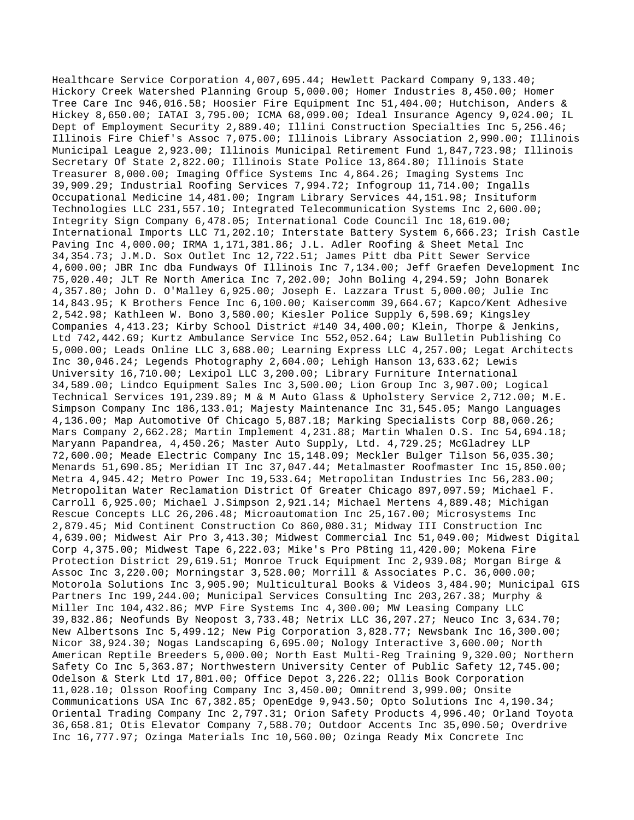Healthcare Service Corporation 4,007,695.44; Hewlett Packard Company 9,133.40; Hickory Creek Watershed Planning Group 5,000.00; Homer Industries 8,450.00; Homer Tree Care Inc 946,016.58; Hoosier Fire Equipment Inc 51,404.00; Hutchison, Anders & Hickey 8,650.00; IATAI 3,795.00; ICMA 68,099.00; Ideal Insurance Agency 9,024.00; IL Dept of Employment Security 2,889.40; Illini Construction Specialties Inc 5,256.46; Illinois Fire Chief's Assoc 7,075.00; Illinois Library Association 2,990.00; Illinois Municipal League 2,923.00; Illinois Municipal Retirement Fund 1,847,723.98; Illinois Secretary Of State 2,822.00; Illinois State Police 13,864.80; Illinois State Treasurer 8,000.00; Imaging Office Systems Inc 4,864.26; Imaging Systems Inc 39,909.29; Industrial Roofing Services 7,994.72; Infogroup 11,714.00; Ingalls Occupational Medicine 14,481.00; Ingram Library Services 44,151.98; Insituform Technologies LLC 231,557.10; Integrated Telecommunication Systems Inc 2,600.00; Integrity Sign Company 6,478.05; International Code Council Inc 18,619.00; International Imports LLC 71,202.10; Interstate Battery System 6,666.23; Irish Castle Paving Inc 4,000.00; IRMA 1,171,381.86; J.L. Adler Roofing & Sheet Metal Inc 34,354.73; J.M.D. Sox Outlet Inc 12,722.51; James Pitt dba Pitt Sewer Service 4,600.00; JBR Inc dba Fundways Of Illinois Inc 7,134.00; Jeff Graefen Development Inc 75,020.40; JLT Re North America Inc 7,202.00; John Boling 4,294.59; John Bonarek 4,357.80; John D. O'Malley 6,925.00; Joseph E. Lazzara Trust 5,000.00; Julie Inc 14,843.95; K Brothers Fence Inc 6,100.00; Kaisercomm 39,664.67; Kapco/Kent Adhesive 2,542.98; Kathleen W. Bono 3,580.00; Kiesler Police Supply 6,598.69; Kingsley Companies 4,413.23; Kirby School District #140 34,400.00; Klein, Thorpe & Jenkins, Ltd 742,442.69; Kurtz Ambulance Service Inc 552,052.64; Law Bulletin Publishing Co 5,000.00; Leads Online LLC 3,688.00; Learning Express LLC 4,257.00; Legat Architects Inc 30,046.24; Legends Photography 2,604.00; Lehigh Hanson 13,633.62; Lewis University 16,710.00; Lexipol LLC 3,200.00; Library Furniture International 34,589.00; Lindco Equipment Sales Inc 3,500.00; Lion Group Inc 3,907.00; Logical Technical Services 191,239.89; M & M Auto Glass & Upholstery Service 2,712.00; M.E. Simpson Company Inc 186,133.01; Majesty Maintenance Inc 31,545.05; Mango Languages 4,136.00; Map Automotive Of Chicago 5,887.18; Marking Specialists Corp 88,060.26; Mars Company 2,662.28; Martin Implement 4,231.88; Martin Whalen O.S. Inc 54,694.18; Maryann Papandrea, 4,450.26; Master Auto Supply, Ltd. 4,729.25; McGladrey LLP 72,600.00; Meade Electric Company Inc 15,148.09; Meckler Bulger Tilson 56,035.30; Menards 51,690.85; Meridian IT Inc 37,047.44; Metalmaster Roofmaster Inc 15,850.00; Metra 4,945.42; Metro Power Inc 19,533.64; Metropolitan Industries Inc 56,283.00; Metropolitan Water Reclamation District Of Greater Chicago 897,097.59; Michael F. Carroll 6,925.00; Michael J.Simpson 2,921.14; Michael Mertens 4,889.48; Michigan Rescue Concepts LLC 26,206.48; Microautomation Inc 25,167.00; Microsystems Inc 2,879.45; Mid Continent Construction Co 860,080.31; Midway III Construction Inc 4,639.00; Midwest Air Pro 3,413.30; Midwest Commercial Inc 51,049.00; Midwest Digital Corp 4,375.00; Midwest Tape 6,222.03; Mike's Pro P8ting 11,420.00; Mokena Fire Protection District 29,619.51; Monroe Truck Equipment Inc 2,939.08; Morgan Birge & Assoc Inc 3,220.00; Morningstar 3,528.00; Morrill & Associates P.C. 36,000.00; Motorola Solutions Inc 3,905.90; Multicultural Books & Videos 3,484.90; Municipal GIS Partners Inc 199,244.00; Municipal Services Consulting Inc 203,267.38; Murphy & Miller Inc 104,432.86; MVP Fire Systems Inc 4,300.00; MW Leasing Company LLC 39,832.86; Neofunds By Neopost 3,733.48; Netrix LLC 36,207.27; Neuco Inc 3,634.70; New Albertsons Inc 5,499.12; New Pig Corporation 3,828.77; Newsbank Inc 16,300.00; Nicor 38,924.30; Nogas Landscaping 6,695.00; Nology Interactive 3,600.00; North American Reptile Breeders 5,000.00; North East Multi-Reg Training 9,320.00; Northern Safety Co Inc 5,363.87; Northwestern University Center of Public Safety 12,745.00; Odelson & Sterk Ltd 17,801.00; Office Depot 3,226.22; Ollis Book Corporation 11,028.10; Olsson Roofing Company Inc 3,450.00; Omnitrend 3,999.00; Onsite Communications USA Inc 67,382.85; OpenEdge 9,943.50; Opto Solutions Inc 4,190.34; Oriental Trading Company Inc 2,797.31; Orion Safety Products 4,996.40; Orland Toyota 36,658.81; Otis Elevator Company 7,588.70; Outdoor Accents Inc 35,090.50; Overdrive Inc 16,777.97; Ozinga Materials Inc 10,560.00; Ozinga Ready Mix Concrete Inc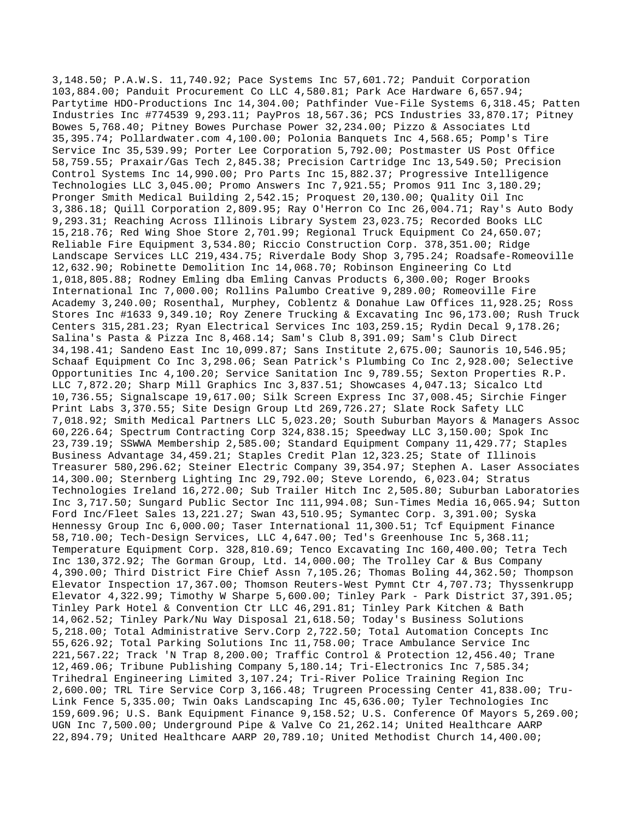3,148.50; P.A.W.S. 11,740.92; Pace Systems Inc 57,601.72; Panduit Corporation 103,884.00; Panduit Procurement Co LLC 4,580.81; Park Ace Hardware 6,657.94; Partytime HDO-Productions Inc 14,304.00; Pathfinder Vue-File Systems 6,318.45; Patten Industries Inc #774539 9,293.11; PayPros 18,567.36; PCS Industries 33,870.17; Pitney Bowes 5,768.40; Pitney Bowes Purchase Power 32,234.00; Pizzo & Associates Ltd 35,395.74; Pollardwater.com 4,100.00; Polonia Banquets Inc 4,568.65; Pomp's Tire Service Inc 35,539.99; Porter Lee Corporation 5,792.00; Postmaster US Post Office 58,759.55; Praxair/Gas Tech 2,845.38; Precision Cartridge Inc 13,549.50; Precision Control Systems Inc 14,990.00; Pro Parts Inc 15,882.37; Progressive Intelligence Technologies LLC 3,045.00; Promo Answers Inc 7,921.55; Promos 911 Inc 3,180.29; Pronger Smith Medical Building 2,542.15; Proquest 20,130.00; Quality Oil Inc 3,386.18; Quill Corporation 2,809.95; Ray O'Herron Co Inc 26,004.71; Ray's Auto Body 9,293.31; Reaching Across Illinois Library System 23,023.75; Recorded Books LLC 15,218.76; Red Wing Shoe Store 2,701.99; Regional Truck Equipment Co 24,650.07; Reliable Fire Equipment 3,534.80; Riccio Construction Corp. 378,351.00; Ridge Landscape Services LLC 219,434.75; Riverdale Body Shop 3,795.24; Roadsafe-Romeoville 12,632.90; Robinette Demolition Inc 14,068.70; Robinson Engineering Co Ltd 1,018,805.88; Rodney Emling dba Emling Canvas Products 6,300.00; Roger Brooks International Inc 7,000.00; Rollins Palumbo Creative 9,289.00; Romeoville Fire Academy 3,240.00; Rosenthal, Murphey, Coblentz & Donahue Law Offices 11,928.25; Ross Stores Inc #1633 9,349.10; Roy Zenere Trucking & Excavating Inc 96,173.00; Rush Truck Centers 315,281.23; Ryan Electrical Services Inc 103,259.15; Rydin Decal 9,178.26; Salina's Pasta & Pizza Inc 8,468.14; Sam's Club 8,391.09; Sam's Club Direct 34,198.41; Sandeno East Inc 10,099.87; Sans Institute 2,675.00; Saunoris 10,546.95; Schaaf Equipment Co Inc 3,298.06; Sean Patrick's Plumbing Co Inc 2,928.00; Selective Opportunities Inc 4,100.20; Service Sanitation Inc 9,789.55; Sexton Properties R.P. LLC 7,872.20; Sharp Mill Graphics Inc 3,837.51; Showcases 4,047.13; Sicalco Ltd 10,736.55; Signalscape 19,617.00; Silk Screen Express Inc 37,008.45; Sirchie Finger Print Labs 3,370.55; Site Design Group Ltd 269,726.27; Slate Rock Safety LLC 7,018.92; Smith Medical Partners LLC 5,023.20; South Suburban Mayors & Managers Assoc 60,226.64; Spectrum Contracting Corp 324,838.15; Speedway LLC 3,150.00; Spok Inc 23,739.19; SSWWA Membership 2,585.00; Standard Equipment Company 11,429.77; Staples Business Advantage 34,459.21; Staples Credit Plan 12,323.25; State of Illinois Treasurer 580,296.62; Steiner Electric Company 39,354.97; Stephen A. Laser Associates 14,300.00; Sternberg Lighting Inc 29,792.00; Steve Lorendo, 6,023.04; Stratus Technologies Ireland 16,272.00; Sub Trailer Hitch Inc 2,505.80; Suburban Laboratories Inc 3,717.50; Sungard Public Sector Inc 111,994.08; Sun-Times Media 16,065.94; Sutton Ford Inc/Fleet Sales 13,221.27; Swan 43,510.95; Symantec Corp. 3,391.00; Syska Hennessy Group Inc 6,000.00; Taser International 11,300.51; Tcf Equipment Finance 58,710.00; Tech-Design Services, LLC 4,647.00; Ted's Greenhouse Inc 5,368.11; Temperature Equipment Corp. 328,810.69; Tenco Excavating Inc 160,400.00; Tetra Tech Inc 130,372.92; The Gorman Group, Ltd. 14,000.00; The Trolley Car & Bus Company 4,390.00; Third District Fire Chief Assn 7,105.26; Thomas Boling 44,362.50; Thompson Elevator Inspection 17,367.00; Thomson Reuters-West Pymnt Ctr 4,707.73; Thyssenkrupp Elevator  $4,322.99$ ; Timothy W Sharpe  $5,600.00$ ; Tinley Park - Park District  $37,391.05$ ; Tinley Park Hotel & Convention Ctr LLC 46,291.81; Tinley Park Kitchen & Bath 14,062.52; Tinley Park/Nu Way Disposal 21,618.50; Today's Business Solutions 5,218.00; Total Administrative Serv.Corp 2,722.50; Total Automation Concepts Inc 55,626.92; Total Parking Solutions Inc 11,758.00; Trace Ambulance Service Inc 221,567.22; Track 'N Trap 8,200.00; Traffic Control & Protection 12,456.40; Trane 12,469.06; Tribune Publishing Company 5,180.14; Tri-Electronics Inc 7,585.34; Trihedral Engineering Limited 3,107.24; Tri-River Police Training Region Inc 2,600.00; TRL Tire Service Corp 3,166.48; Trugreen Processing Center 41,838.00; Tru-Link Fence 5,335.00; Twin Oaks Landscaping Inc 45,636.00; Tyler Technologies Inc 159,609.96; U.S. Bank Equipment Finance 9,158.52; U.S. Conference Of Mayors 5,269.00; UGN Inc 7,500.00; Underground Pipe & Valve Co 21,262.14; United Healthcare AARP 22,894.79; United Healthcare AARP 20,789.10; United Methodist Church 14,400.00;